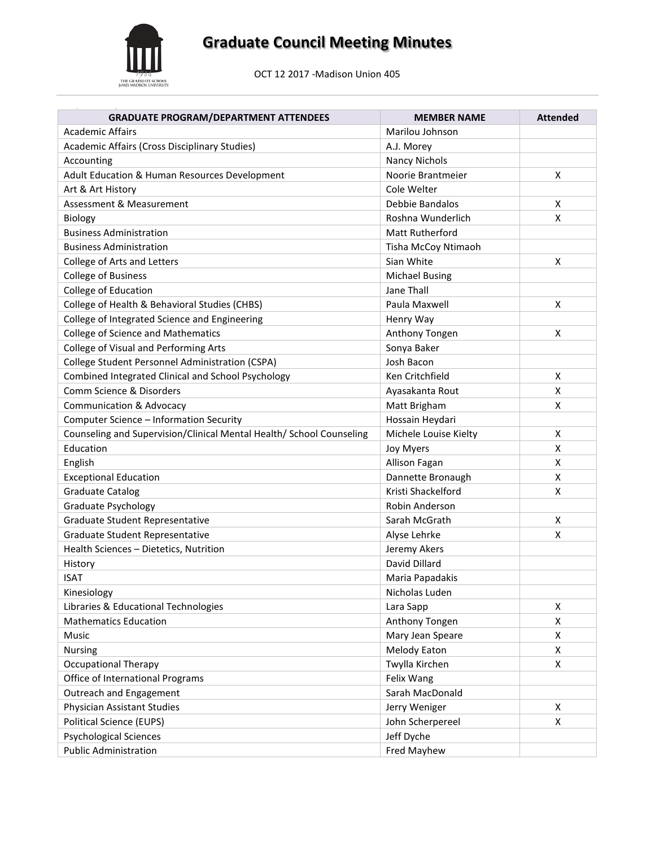

# **Graduate Council Meeting Minutes**

OCT 12 2017 -Madison Union 405

| <b>GRADUATE PROGRAM/DEPARTMENT ATTENDEES</b>                         | <b>MEMBER NAME</b>     | <b>Attended</b>    |
|----------------------------------------------------------------------|------------------------|--------------------|
| <b>Academic Affairs</b>                                              | Marilou Johnson        |                    |
| Academic Affairs (Cross Disciplinary Studies)                        | A.J. Morey             |                    |
| Accounting                                                           | <b>Nancy Nichols</b>   |                    |
| Adult Education & Human Resources Development                        | Noorie Brantmeier      | X                  |
| Art & Art History                                                    | Cole Welter            |                    |
| Assessment & Measurement                                             | Debbie Bandalos        | X                  |
| Biology                                                              | Roshna Wunderlich      | X                  |
| <b>Business Administration</b>                                       | <b>Matt Rutherford</b> |                    |
| <b>Business Administration</b>                                       | Tisha McCoy Ntimaoh    |                    |
| College of Arts and Letters                                          | Sian White             | X                  |
| <b>College of Business</b>                                           | <b>Michael Busing</b>  |                    |
| College of Education                                                 | Jane Thall             |                    |
| College of Health & Behavioral Studies (CHBS)                        | Paula Maxwell          | $\pmb{\mathsf{X}}$ |
| College of Integrated Science and Engineering                        | Henry Way              |                    |
| <b>College of Science and Mathematics</b>                            | Anthony Tongen         | Χ                  |
| College of Visual and Performing Arts                                | Sonya Baker            |                    |
| College Student Personnel Administration (CSPA)                      | Josh Bacon             |                    |
| Combined Integrated Clinical and School Psychology                   | Ken Critchfield        | X                  |
| Comm Science & Disorders                                             | Ayasakanta Rout        | X                  |
| <b>Communication &amp; Advocacy</b>                                  | Matt Brigham           | X                  |
| Computer Science - Information Security                              | Hossain Heydari        |                    |
| Counseling and Supervision/Clinical Mental Health/ School Counseling | Michele Louise Kielty  | X                  |
| Education                                                            | Joy Myers              | X                  |
| English                                                              | Allison Fagan          | X                  |
| <b>Exceptional Education</b>                                         | Dannette Bronaugh      | X                  |
| <b>Graduate Catalog</b>                                              | Kristi Shackelford     | X                  |
| Graduate Psychology                                                  | Robin Anderson         |                    |
| Graduate Student Representative                                      | Sarah McGrath          | X                  |
| Graduate Student Representative                                      | Alyse Lehrke           | X                  |
| Health Sciences - Dietetics, Nutrition                               | Jeremy Akers           |                    |
| History                                                              | David Dillard          |                    |
| <b>ISAT</b>                                                          | Maria Papadakis        |                    |
| Kinesiology                                                          | Nicholas Luden         |                    |
| Libraries & Educational Technologies                                 | Lara Sapp              | X                  |
| <b>Mathematics Education</b>                                         | Anthony Tongen         | X                  |
| Music                                                                | Mary Jean Speare       | X                  |
| Nursing                                                              | Melody Eaton           | Χ                  |
| <b>Occupational Therapy</b>                                          | Twylla Kirchen         | Χ                  |
| Office of International Programs                                     | Felix Wang             |                    |
| Outreach and Engagement                                              | Sarah MacDonald        |                    |
| Physician Assistant Studies                                          | Jerry Weniger          | X                  |
| <b>Political Science (EUPS)</b>                                      | John Scherpereel       | Χ                  |
| <b>Psychological Sciences</b>                                        | Jeff Dyche             |                    |
| <b>Public Administration</b>                                         | Fred Mayhew            |                    |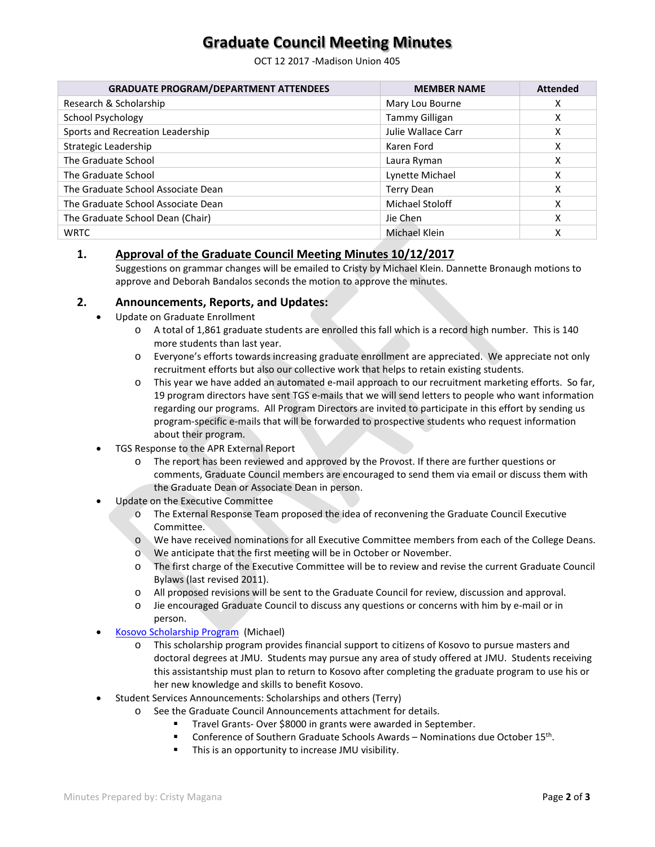## **Graduate Council Meeting Minutes**

OCT 12 2017 -Madison Union 405

| <b>GRADUATE PROGRAM/DEPARTMENT ATTENDEES</b> | <b>MEMBER NAME</b>     | <b>Attended</b> |
|----------------------------------------------|------------------------|-----------------|
| Research & Scholarship                       | Mary Lou Bourne        | х               |
| School Psychology                            | Tammy Gilligan         | x               |
| Sports and Recreation Leadership             | Julie Wallace Carr     | х               |
| Strategic Leadership                         | Karen Ford             | х               |
| The Graduate School                          | Laura Ryman            | x               |
| The Graduate School                          | Lynette Michael        | x               |
| The Graduate School Associate Dean           | Terry Dean             | х               |
| The Graduate School Associate Dean           | <b>Michael Stoloff</b> | x               |
| The Graduate School Dean (Chair)             | Jie Chen               | x               |
| <b>WRTC</b>                                  | Michael Klein          | Χ               |

### **1. Approval of the Graduate Council Meeting Minutes 10/12/2017**

Suggestions on grammar changes will be emailed to Cristy by Michael Klein. Dannette Bronaugh motions to approve and Deborah Bandalos seconds the motion to approve the minutes.

#### **2. Announcements, Reports, and Updates:**

- Update on Graduate Enrollment
	- o A total of 1,861 graduate students are enrolled this fall which is a record high number. This is 140 more students than last year.
	- o Everyone's efforts towards increasing graduate enrollment are appreciated. We appreciate not only recruitment efforts but also our collective work that helps to retain existing students.
	- o This year we have added an automated e-mail approach to our recruitment marketing efforts. So far, 19 program directors have sent TGS e-mails that we will send letters to people who want information regarding our programs. All Program Directors are invited to participate in this effort by sending us program-specific e-mails that will be forwarded to prospective students who request information about their program.
- TGS Response to the APR External Report
	- o The report has been reviewed and approved by the Provost. If there are further questions or comments, Graduate Council members are encouraged to send them via email or discuss them with the Graduate Dean or Associate Dean in person.
- Update on the Executive Committee
	- o The External Response Team proposed the idea of reconvening the Graduate Council Executive Committee.
	- o We have received nominations for all Executive Committee members from each of the College Deans.
	- o We anticipate that the first meeting will be in October or November.
	- o The first charge of the Executive Committee will be to review and revise the current Graduate Council Bylaws (last revised 2011).
	- o All proposed revisions will be sent to the Graduate Council for review, discussion and approval.
	- o Jie encouraged Graduate Council to discuss any questions or concerns with him by e-mail or in person.
- [Kosovo Scholarship Program](http://www.jmu.edu/grad/kosovo/) (Michael)
	- o This scholarship program provides financial support to citizens of Kosovo to pursue masters and doctoral degrees at JMU. Students may pursue any area of study offered at JMU. Students receiving this assistantship must plan to return to Kosovo after completing the graduate program to use his or her new knowledge and skills to benefit Kosovo.
- Student Services Announcements: Scholarships and others (Terry)
	- o See the Graduate Council Announcements attachment for details.
		- **Travel Grants-Over \$8000 in grants were awarded in September.**
		- Conference of Southern Graduate Schools Awards Nominations due October 15th.
		- This is an opportunity to increase JMU visibility.